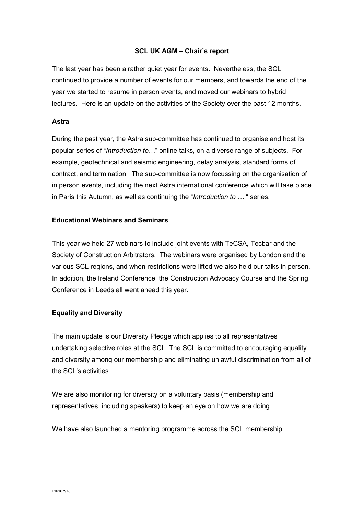### SCL UK AGM – Chair's report

The last year has been a rather quiet year for events. Nevertheless, the SCL continued to provide a number of events for our members, and towards the end of the year we started to resume in person events, and moved our webinars to hybrid lectures. Here is an update on the activities of the Society over the past 12 months.

#### Astra

During the past year, the Astra sub-committee has continued to organise and host its popular series of "Introduction to..." online talks, on a diverse range of subjects. For example, geotechnical and seismic engineering, delay analysis, standard forms of contract, and termination. The sub-committee is now focussing on the organisation of in person events, including the next Astra international conference which will take place in Paris this Autumn, as well as continuing the "Introduction to ... " series.

### Educational Webinars and Seminars

This year we held 27 webinars to include joint events with TeCSA, Tecbar and the Society of Construction Arbitrators. The webinars were organised by London and the various SCL regions, and when restrictions were lifted we also held our talks in person. In addition, the Ireland Conference, the Construction Advocacy Course and the Spring Conference in Leeds all went ahead this year.

# Equality and Diversity

The main update is our Diversity Pledge which applies to all representatives undertaking selective roles at the SCL. The SCL is committed to encouraging equality and diversity among our membership and eliminating unlawful discrimination from all of the SCL's activities.

We are also monitoring for diversity on a voluntary basis (membership and representatives, including speakers) to keep an eye on how we are doing.

We have also launched a mentoring programme across the SCL membership.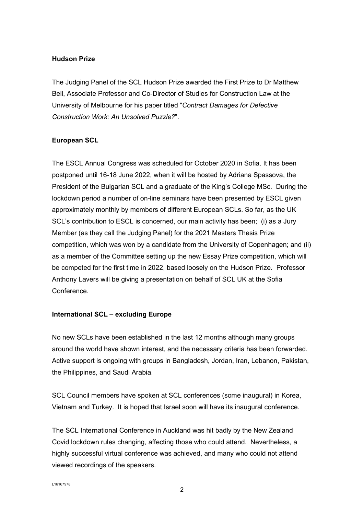### Hudson Prize

The Judging Panel of the SCL Hudson Prize awarded the First Prize to Dr Matthew Bell, Associate Professor and Co-Director of Studies for Construction Law at the University of Melbourne for his paper titled "Contract Damages for Defective Construction Work: An Unsolved Puzzle?".

# European SCL

The ESCL Annual Congress was scheduled for October 2020 in Sofia. It has been postponed until 16-18 June 2022, when it will be hosted by Adriana Spassova, the President of the Bulgarian SCL and a graduate of the King's College MSc. During the lockdown period a number of on-line seminars have been presented by ESCL given approximately monthly by members of different European SCLs. So far, as the UK SCL's contribution to ESCL is concerned, our main activity has been; (i) as a Jury Member (as they call the Judging Panel) for the 2021 Masters Thesis Prize competition, which was won by a candidate from the University of Copenhagen; and (ii) as a member of the Committee setting up the new Essay Prize competition, which will be competed for the first time in 2022, based loosely on the Hudson Prize. Professor Anthony Lavers will be giving a presentation on behalf of SCL UK at the Sofia **Conference** 

# International SCL – excluding Europe

No new SCLs have been established in the last 12 months although many groups around the world have shown interest, and the necessary criteria has been forwarded. Active support is ongoing with groups in Bangladesh, Jordan, Iran, Lebanon, Pakistan, the Philippines, and Saudi Arabia.

SCL Council members have spoken at SCL conferences (some inaugural) in Korea, Vietnam and Turkey. It is hoped that Israel soon will have its inaugural conference.

The SCL International Conference in Auckland was hit badly by the New Zealand Covid lockdown rules changing, affecting those who could attend. Nevertheless, a highly successful virtual conference was achieved, and many who could not attend viewed recordings of the speakers.

L16167978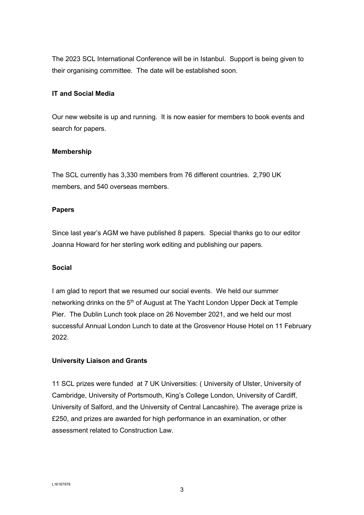The 2023 SCL International Conference will be in Istanbul. Support is being given to their organising committee. The date will be established soon.

# IT and Social Media

Our new website is up and running. It is now easier for members to book events and search for papers.

# Membership

The SCL currently has 3,330 members from 76 different countries. 2,790 UK members, and 540 overseas members.

# Papers

Since last year's AGM we have published 8 papers. Special thanks go to our editor Joanna Howard for her sterling work editing and publishing our papers.

# Social

I am glad to report that we resumed our social events. We held our summer networking drinks on the 5<sup>th</sup> of August at The Yacht London Upper Deck at Temple Pier. The Dublin Lunch took place on 26 November 2021, and we held our most successful Annual London Lunch to date at the Grosvenor House Hotel on 11 February 2022.

# University Liaison and Grants

11 SCL prizes were funded at 7 UK Universities: ( University of Ulster, University of Cambridge, University of Portsmouth, King's College London, University of Cardiff, University of Salford, and the University of Central Lancashire). The average prize is £250, and prizes are awarded for high performance in an examination, or other assessment related to Construction Law.